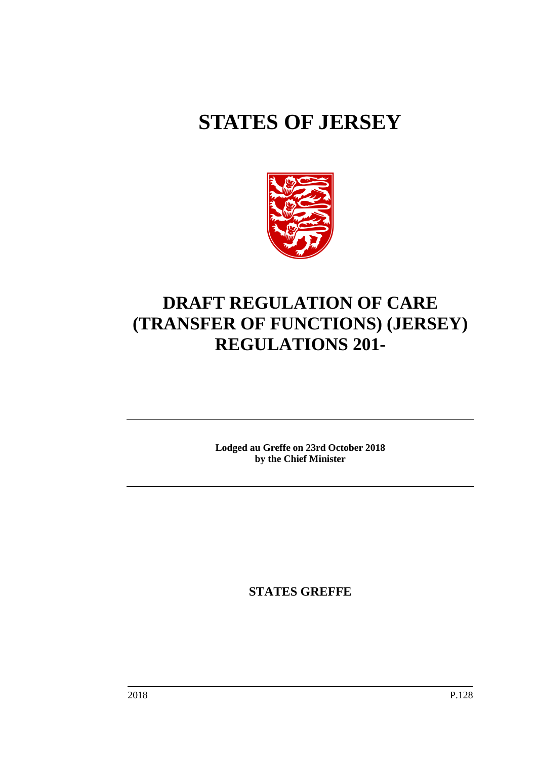# **STATES OF JERSEY**



# **DRAFT REGULATION OF CARE (TRANSFER OF FUNCTIONS) (JERSEY) REGULATIONS 201-**

**Lodged au Greffe on 23rd October 2018 by the Chief Minister**

**STATES GREFFE**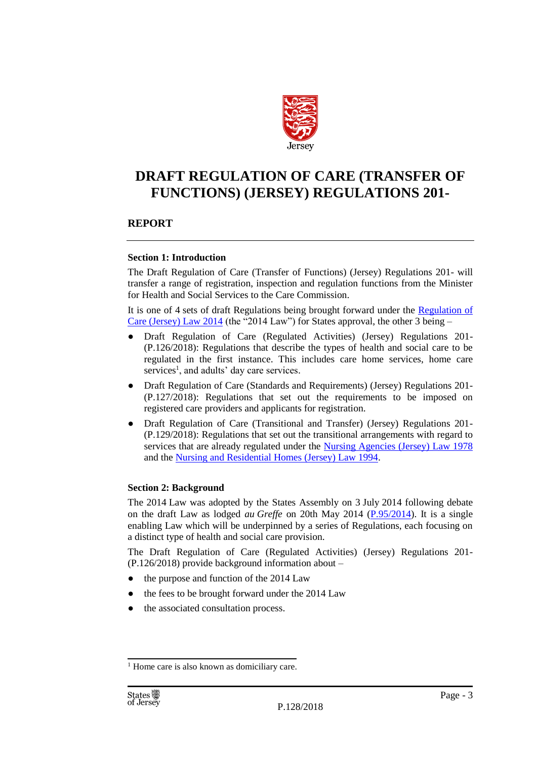

# **DRAFT REGULATION OF CARE (TRANSFER OF FUNCTIONS) (JERSEY) REGULATIONS 201-**

# **REPORT**

#### **Section 1: Introduction**

The Draft Regulation of Care (Transfer of Functions) (Jersey) Regulations 201- will transfer a range of registration, inspection and regulation functions from the Minister for Health and Social Services to the Care Commission.

It is one of 4 sets of draft Regulations being brought forward under the Regulation of [Care \(Jersey\) Law 2014](https://www.jerseylaw.je/laws/revised/Pages/20.820.aspx) (the "2014 Law") for States approval, the other 3 being –

- Draft Regulation of Care (Regulated Activities) (Jersey) Regulations 201-(P.126/2018): Regulations that describe the types of health and social care to be regulated in the first instance. This includes care home services, home care services<sup>1</sup>, and adults' day care services.
- Draft Regulation of Care (Standards and Requirements) (Jersey) Regulations 201-(P.127/2018): Regulations that set out the requirements to be imposed on registered care providers and applicants for registration.
- Draft Regulation of Care (Transitional and Transfer) (Jersey) Regulations 201- (P.129/2018): Regulations that set out the transitional arrangements with regard to services that are already regulated under the [Nursing Agencies \(Jersey\) Law 1978](https://www.jerseylaw.je/laws/revised/Pages/20.700.aspx) and the [Nursing and Residential Homes \(Jersey\) Law 1994.](https://www.jerseylaw.je/laws/revised/Pages/20.725.aspx)

# **Section 2: Background**

The 2014 Law was adopted by the States Assembly on 3 July 2014 following debate on the draft Law as lodged *au Greffe* on 20th May 2014 [\(P.95/2014\)](https://statesassembly.gov.je/assemblypropositions/2014/p.095-2014re-issue%20and%20corrig.pdf). It is a single enabling Law which will be underpinned by a series of Regulations, each focusing on a distinct type of health and social care provision.

The Draft Regulation of Care (Regulated Activities) (Jersey) Regulations 201- (P.126/2018) provide background information about –

- the purpose and function of the 2014 Law
- the fees to be brought forward under the 2014 Law
- the associated consultation process.

<sup>&</sup>lt;sup>1</sup> Home care is also known as domiciliary care.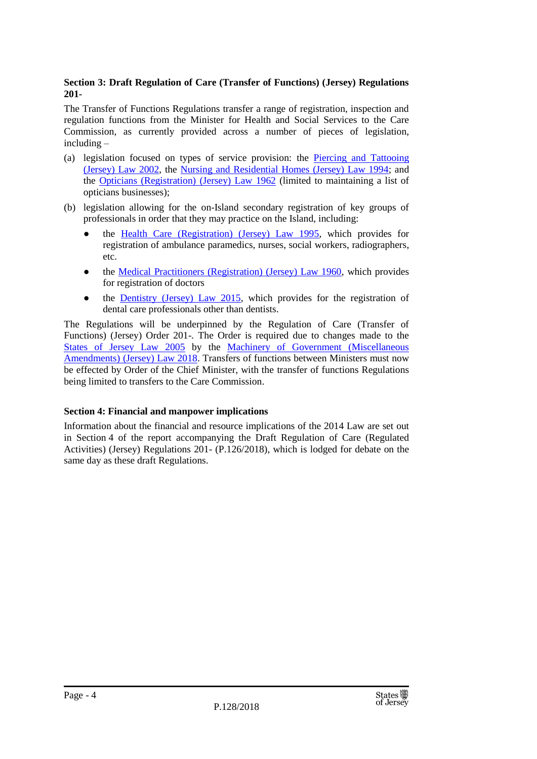# **Section 3: Draft Regulation of Care (Transfer of Functions) (Jersey) Regulations 201-**

The Transfer of Functions Regulations transfer a range of registration, inspection and regulation functions from the Minister for Health and Social Services to the Care Commission, as currently provided across a number of pieces of legislation, including –

- (a) legislation focused on types of service provision: the [Piercing and Tattooing](https://www.jerseylaw.je/laws/revised/Pages/20.900.aspx)  [\(Jersey\) Law 2002,](https://www.jerseylaw.je/laws/revised/Pages/20.900.aspx) the [Nursing and Residential Homes \(Jersey\) Law 1994;](https://www.jerseylaw.je/laws/revised/Pages/20.725.aspx) and the [Opticians \(Registration\) \(Jersey\) Law 1962](https://www.jerseylaw.je/laws/revised/Pages/20.750.aspx) (limited to maintaining a list of opticians businesses);
- (b) legislation allowing for the on-Island secondary registration of key groups of professionals in order that they may practice on the Island, including:
	- the [Health Care \(Registration\) \(Jersey\) Law 1995,](https://www.jerseylaw.je/laws/revised/Pages/20.300.aspx) which provides for registration of ambulance paramedics, nurses, social workers, radiographers, etc.
	- the [Medical Practitioners \(Registration\) \(Jersey\) Law 1960,](https://www.jerseylaw.je/laws/revised/Pages/20.600.aspx) which provides for registration of doctors
	- the **Dentistry (Jersey) Law 2015**, which provides for the registration of dental care professionals other than dentists.

The Regulations will be underpinned by the Regulation of Care (Transfer of Functions) (Jersey) Order 201-. The Order is required due to changes made to the [States of Jersey Law 2005](https://www.jerseylaw.je/laws/revised/Pages/16.800.aspx) by the [Machinery of Government \(Miscellaneous](https://www.jerseylaw.je/laws/enacted/pages/L-18-2018.aspx)  [Amendments\) \(Jersey\) Law 2018.](https://www.jerseylaw.je/laws/enacted/pages/L-18-2018.aspx) Transfers of functions between Ministers must now be effected by Order of the Chief Minister, with the transfer of functions Regulations being limited to transfers to the Care Commission.

# **Section 4: Financial and manpower implications**

Information about the financial and resource implications of the 2014 Law are set out in Section 4 of the report accompanying the Draft Regulation of Care (Regulated Activities) (Jersey) Regulations 201- (P.126/2018), which is lodged for debate on the same day as these draft Regulations.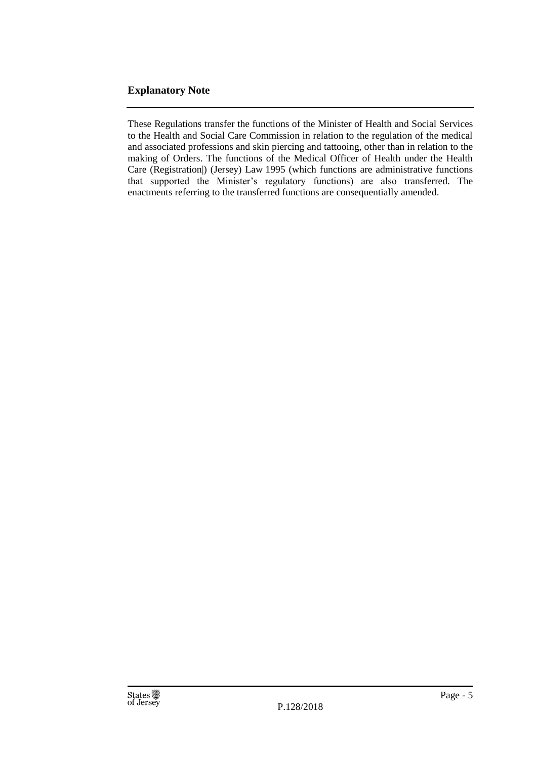# **Explanatory Note**

These Regulations transfer the functions of the Minister of Health and Social Services to the Health and Social Care Commission in relation to the regulation of the medical and associated professions and skin piercing and tattooing, other than in relation to the making of Orders. The functions of the Medical Officer of Health under the Health Care (Registration|) (Jersey) Law 1995 (which functions are administrative functions that supported the Minister's regulatory functions) are also transferred. The enactments referring to the transferred functions are consequentially amended.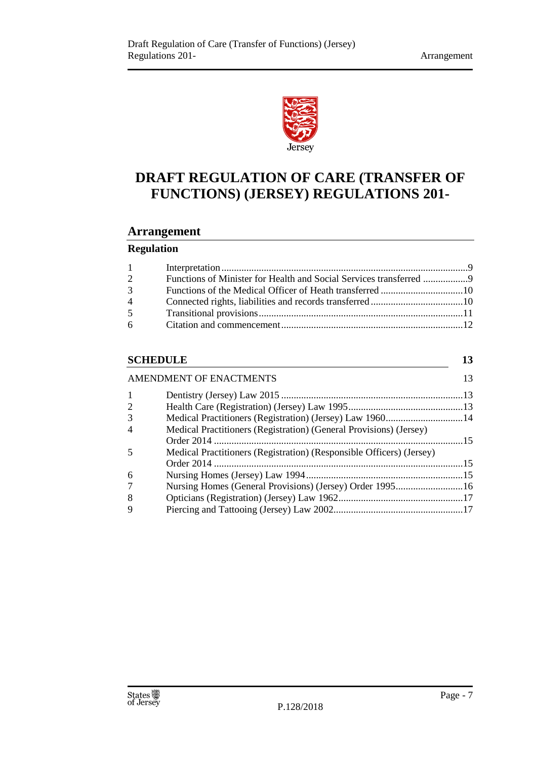

# **DRAFT REGULATION OF CARE (TRANSFER OF FUNCTIONS) (JERSEY) REGULATIONS 201-**

# **Arrangement**

# **Regulation**

| $1 \quad \blacksquare$ |                                                                    |  |
|------------------------|--------------------------------------------------------------------|--|
| 2                      | Functions of Minister for Health and Social Services transferred 9 |  |
| $\mathfrak{Z}$         |                                                                    |  |
| $\overline{4}$         |                                                                    |  |
| 5 <sup>1</sup>         |                                                                    |  |
| $6 \quad$              |                                                                    |  |
|                        |                                                                    |  |

# **[SCHEDULE](#page-12-0) 13**

|                | <b>AMENDMENT OF ENACTMENTS</b>                                       | 13 |
|----------------|----------------------------------------------------------------------|----|
| 1              |                                                                      |    |
| $\overline{2}$ |                                                                      |    |
| 3              | Medical Practitioners (Registration) (Jersey) Law 196014             |    |
| 4              | Medical Practitioners (Registration) (General Provisions) (Jersey)   |    |
| 5              | Medical Practitioners (Registration) (Responsible Officers) (Jersey) |    |
| 6              |                                                                      |    |
| 7              | Nursing Homes (General Provisions) (Jersey) Order 199516             |    |
| 8              |                                                                      |    |
| 9              |                                                                      |    |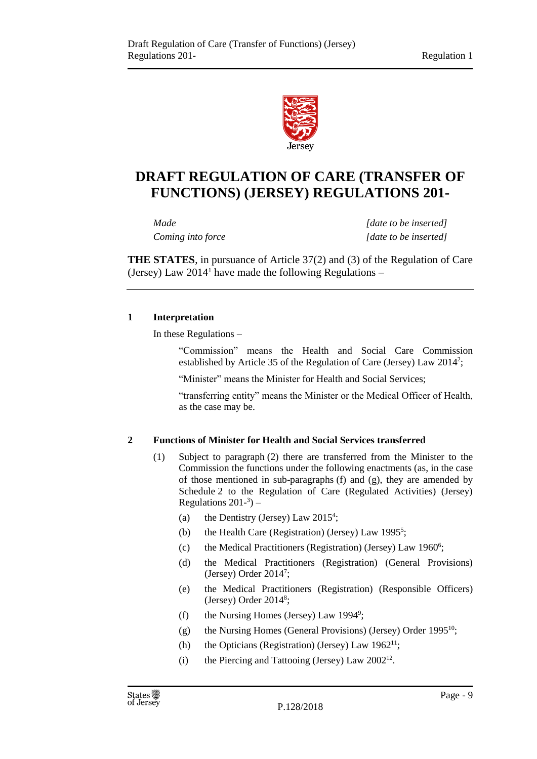

# **DRAFT REGULATION OF CARE (TRANSFER OF FUNCTIONS) (JERSEY) REGULATIONS 201-**

*Made [date to be inserted] Coming into force [date to be inserted]*

**THE STATES**, in pursuance of Article 37(2) and (3) of the Regulation of Care (Jersey) Law  $2014<sup>1</sup>$  have made the following Regulations –

# <span id="page-8-0"></span>**1 Interpretation**

In these Regulations –

"Commission" means the Health and Social Care Commission established by Article 35 of the Regulation of Care (Jersey) Law 2014<sup>2</sup>;

"Minister" means the Minister for Health and Social Services;

"transferring entity" means the Minister or the Medical Officer of Health, as the case may be.

# <span id="page-8-1"></span>**2 Functions of Minister for Health and Social Services transferred**

- (1) Subject to paragraph (2) there are transferred from the Minister to the Commission the functions under the following enactments (as, in the case of those mentioned in sub-paragraphs (f) and (g), they are amended by Schedule 2 to the Regulation of Care (Regulated Activities) (Jersey) Regulations  $201<sup>-3</sup>$ ) –
	- (a) the Dentistry (Jersey) Law 2015<sup>4</sup>;
	- (b) the Health Care (Registration) (Jersey) Law 1995<sup>5</sup>;
	- (c) the Medical Practitioners (Registration) (Jersey) Law 1960<sup>6</sup>;
	- (d) the Medical Practitioners (Registration) (General Provisions) (Jersey) Order 2014<sup>7</sup> ;
	- (e) the Medical Practitioners (Registration) (Responsible Officers) (Jersey) Order 2014<sup>8</sup> ;
	- (f) the Nursing Homes (Jersey) Law  $1994^\circ$ ;
	- (g) the Nursing Homes (General Provisions) (Jersey) Order 1995<sup>10</sup>;
	- (h) the Opticians (Registration) (Jersey) Law  $1962^{11}$ ;
	- (i) the Piercing and Tattooing (Jersey) Law  $2002^{12}$ .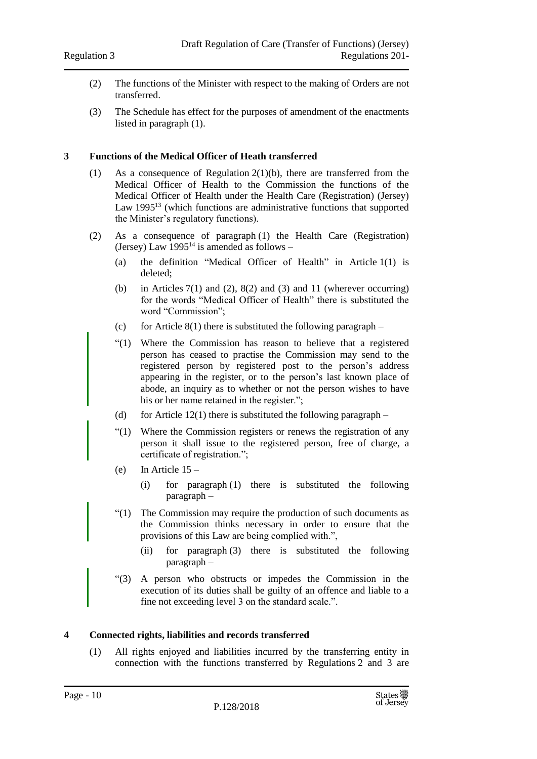- (2) The functions of the Minister with respect to the making of Orders are not transferred.
- (3) The Schedule has effect for the purposes of amendment of the enactments listed in paragraph (1).

#### <span id="page-9-0"></span>**3 Functions of the Medical Officer of Heath transferred**

- (1) As a consequence of Regulation 2(1)(b), there are transferred from the Medical Officer of Health to the Commission the functions of the Medical Officer of Health under the Health Care (Registration) (Jersey) Law 1995<sup>13</sup> (which functions are administrative functions that supported the Minister's regulatory functions).
- (2) As a consequence of paragraph (1) the Health Care (Registration) (Jersey) Law  $1995^{14}$  is amended as follows –
	- (a) the definition "Medical Officer of Health" in Article 1(1) is deleted;
	- (b) in Articles  $7(1)$  and  $(2)$ ,  $8(2)$  and  $(3)$  and  $11$  (wherever occurring) for the words "Medical Officer of Health" there is substituted the word "Commission";
	- (c) for Article 8(1) there is substituted the following paragraph –
	- "(1) Where the Commission has reason to believe that a registered person has ceased to practise the Commission may send to the registered person by registered post to the person's address appearing in the register, or to the person's last known place of abode, an inquiry as to whether or not the person wishes to have his or her name retained in the register.";
	- (d) for Article 12(1) there is substituted the following paragraph –
	- "(1) Where the Commission registers or renews the registration of any person it shall issue to the registered person, free of charge, a certificate of registration.";
	- (e) In Article  $15 -$ 
		- (i) for paragraph (1) there is substituted the following paragraph –
	- "(1) The Commission may require the production of such documents as the Commission thinks necessary in order to ensure that the provisions of this Law are being complied with.",
		- (ii) for paragraph (3) there is substituted the following paragraph –
	- "(3) A person who obstructs or impedes the Commission in the execution of its duties shall be guilty of an offence and liable to a fine not exceeding level 3 on the standard scale.".

#### <span id="page-9-1"></span>**4 Connected rights, liabilities and records transferred**

(1) All rights enjoyed and liabilities incurred by the transferring entity in connection with the functions transferred by Regulations 2 and 3 are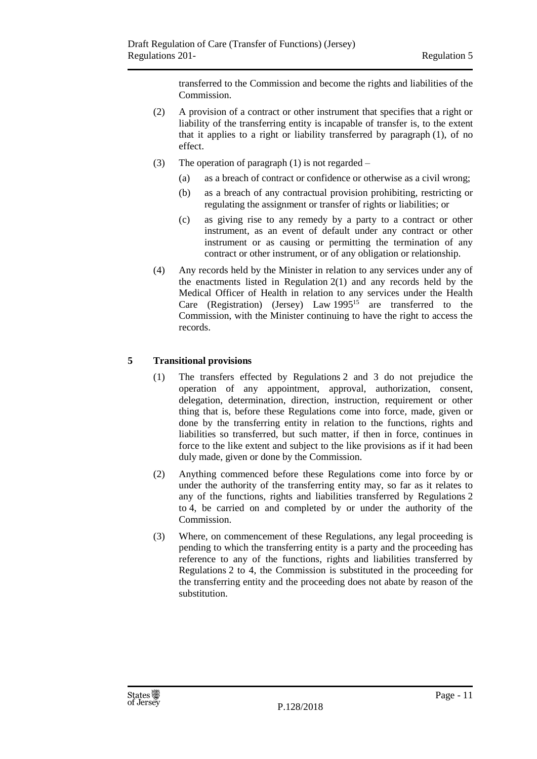transferred to the Commission and become the rights and liabilities of the Commission.

- (2) A provision of a contract or other instrument that specifies that a right or liability of the transferring entity is incapable of transfer is, to the extent that it applies to a right or liability transferred by paragraph (1), of no effect.
- (3) The operation of paragraph (1) is not regarded
	- (a) as a breach of contract or confidence or otherwise as a civil wrong;
	- (b) as a breach of any contractual provision prohibiting, restricting or regulating the assignment or transfer of rights or liabilities; or
	- (c) as giving rise to any remedy by a party to a contract or other instrument, as an event of default under any contract or other instrument or as causing or permitting the termination of any contract or other instrument, or of any obligation or relationship.
- (4) Any records held by the Minister in relation to any services under any of the enactments listed in Regulation 2(1) and any records held by the Medical Officer of Health in relation to any services under the Health Care (Registration) (Jersey) Law 1995<sup>15</sup> are transferred to the Commission, with the Minister continuing to have the right to access the records.

# <span id="page-10-0"></span>**5 Transitional provisions**

- (1) The transfers effected by Regulations 2 and 3 do not prejudice the operation of any appointment, approval, authorization, consent, delegation, determination, direction, instruction, requirement or other thing that is, before these Regulations come into force, made, given or done by the transferring entity in relation to the functions, rights and liabilities so transferred, but such matter, if then in force, continues in force to the like extent and subject to the like provisions as if it had been duly made, given or done by the Commission.
- (2) Anything commenced before these Regulations come into force by or under the authority of the transferring entity may, so far as it relates to any of the functions, rights and liabilities transferred by Regulations 2 to 4, be carried on and completed by or under the authority of the Commission.
- (3) Where, on commencement of these Regulations, any legal proceeding is pending to which the transferring entity is a party and the proceeding has reference to any of the functions, rights and liabilities transferred by Regulations 2 to 4, the Commission is substituted in the proceeding for the transferring entity and the proceeding does not abate by reason of the substitution.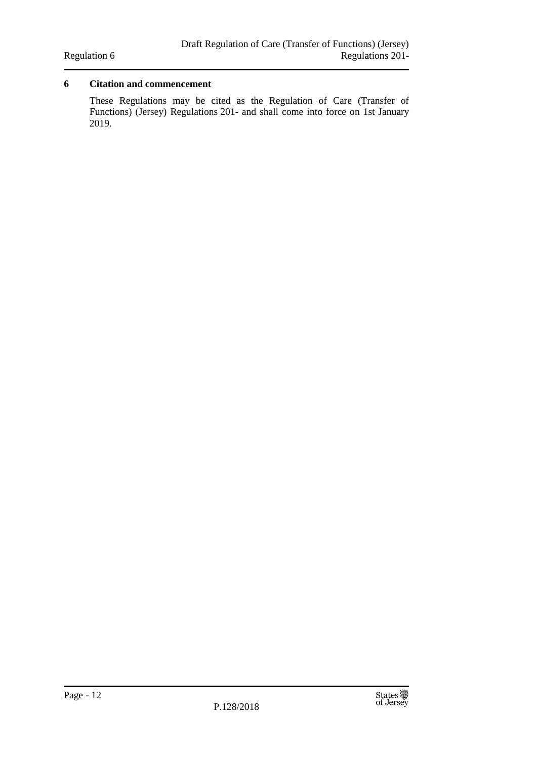# <span id="page-11-0"></span>**6 Citation and commencement**

These Regulations may be cited as the Regulation of Care (Transfer of Functions) (Jersey) Regulations 201- and shall come into force on 1st January 2019.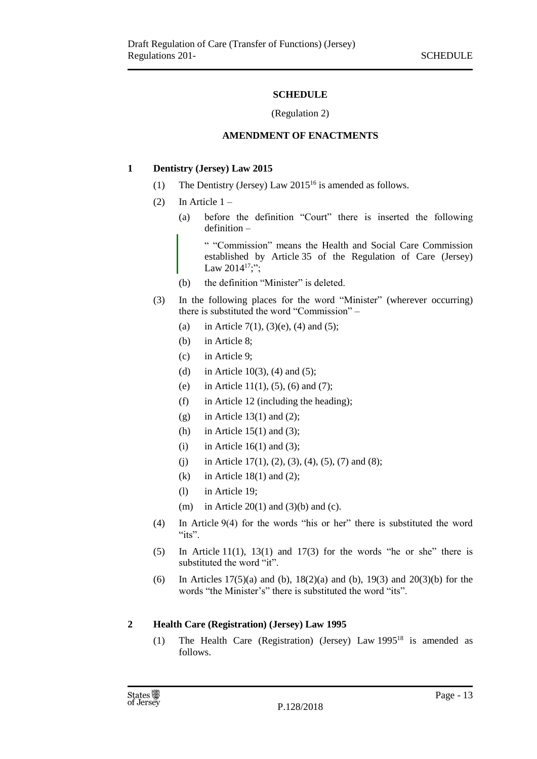# **SCHEDULE**

#### (Regulation 2)

#### **AMENDMENT OF ENACTMENTS**

#### <span id="page-12-2"></span><span id="page-12-1"></span><span id="page-12-0"></span>**1 Dentistry (Jersey) Law 2015**

- (1) The Dentistry (Jersey) Law  $2015^{16}$  is amended as follows.
- (2) In Article  $1 -$ 
	- (a) before the definition "Court" there is inserted the following definition –

" "Commission" means the Health and Social Care Commission established by Article 35 of the Regulation of Care (Jersey) Law  $2014^{17}$ ;";

- (b) the definition "Minister" is deleted.
- (3) In the following places for the word "Minister" (wherever occurring) there is substituted the word "Commission" –
	- (a) in Article 7(1), (3)(e), (4) and (5);
	- (b) in Article 8;
	- (c) in Article 9;
	- (d) in Article 10(3), (4) and (5);
	- (e) in Article 11(1), (5), (6) and (7);
	- (f) in Article 12 (including the heading);
	- (g) in Article  $13(1)$  and  $(2)$ ;
	- (h) in Article  $15(1)$  and  $(3)$ ;
	- (i) in Article 16(1) and (3);
	- (i) in Article 17(1), (2), (3), (4), (5), (7) and (8);
	- (k) in Article 18(1) and (2);
	- (l) in Article 19;
	- (m) in Article  $20(1)$  and  $(3)(b)$  and (c).
- (4) In Article 9(4) for the words "his or her" there is substituted the word " $its$ ".
- $(5)$  In Article 11(1), 13(1) and 17(3) for the words "he or she" there is substituted the word "it".
- (6) In Articles  $17(5)(a)$  and (b),  $18(2)(a)$  and (b),  $19(3)$  and  $20(3)(b)$  for the words "the Minister's" there is substituted the word "its".

# <span id="page-12-3"></span>**2 Health Care (Registration) (Jersey) Law 1995**

(1) The Health Care (Registration) (Jersey) Law 1995<sup>18</sup> is amended as follows.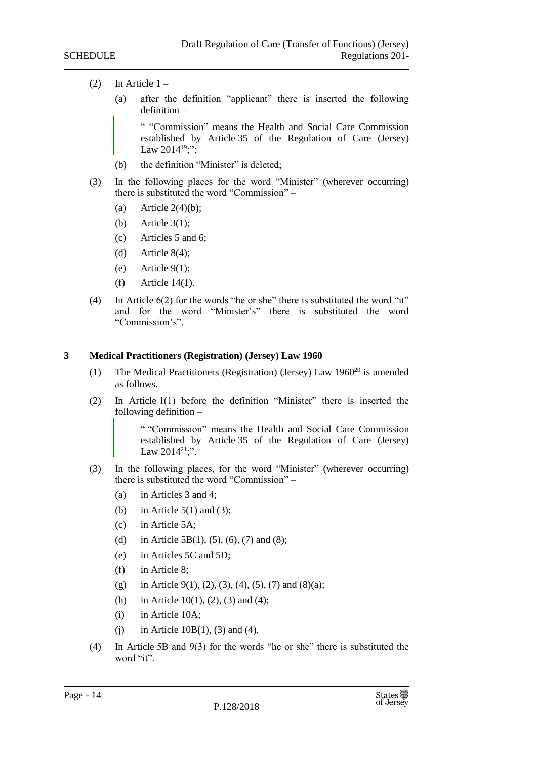- (2) In Article  $1 -$ 
	- (a) after the definition "applicant" there is inserted the following definition –

" "Commission" means the Health and Social Care Commission established by Article 35 of the Regulation of Care (Jersey) Law  $2014^{19}$ ;";

- (b) the definition "Minister" is deleted;
- (3) In the following places for the word "Minister" (wherever occurring) there is substituted the word "Commission" –
	- (a) Article  $2(4)(b)$ ;
	- (b) Article 3(1);
	- (c) Articles 5 and 6;
	- (d) Article  $8(4)$ ;
	- (e) Article  $9(1)$ ;
	- (f) Article 14(1).
- (4) In Article  $6(2)$  for the words "he or she" there is substituted the word "it" and for the word "Minister's" there is substituted the word "Commission's".

#### <span id="page-13-0"></span>**3 Medical Practitioners (Registration) (Jersey) Law 1960**

- (1) The Medical Practitioners (Registration) (Jersey) Law  $1960^{20}$  is amended as follows.
- (2) In Article 1(1) before the definition "Minister" there is inserted the following definition –

" "Commission" means the Health and Social Care Commission established by Article 35 of the Regulation of Care (Jersey) Law  $2014^{21}$ ;".

- (3) In the following places, for the word "Minister" (wherever occurring) there is substituted the word "Commission" –
	- (a) in Articles 3 and 4;
	- (b) in Article  $5(1)$  and  $(3)$ ;
	- (c) in Article 5A;
	- (d) in Article 5B(1), (5), (6), (7) and (8);
	- (e) in Articles 5C and 5D;
	- (f) in Article 8;
	- (g) in Article 9(1), (2), (3), (4), (5), (7) and (8)(a);
	- (h) in Article 10(1), (2), (3) and (4);
	- (i) in Article 10A;
	- (i) in Article 10B(1), (3) and (4).
- (4) In Article 5B and 9(3) for the words "he or she" there is substituted the word "it"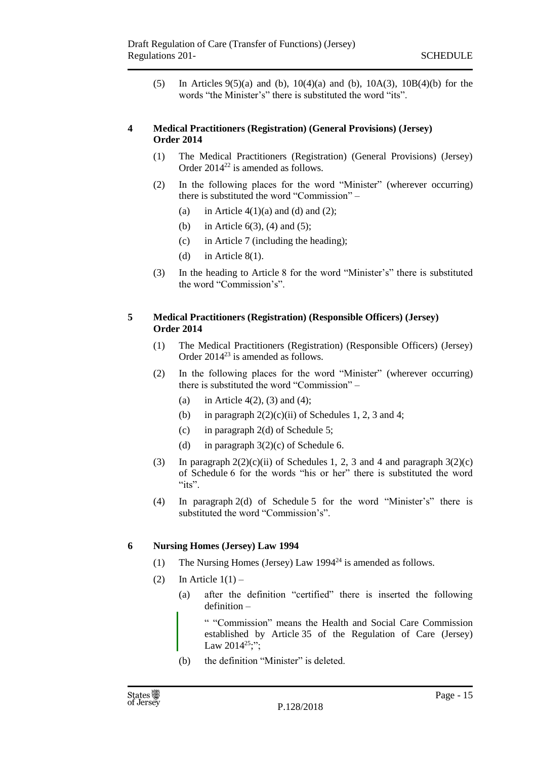(5) In Articles 9(5)(a) and (b), 10(4)(a) and (b), 10A(3), 10B(4)(b) for the words "the Minister's" there is substituted the word "its".

#### <span id="page-14-0"></span>**4 Medical Practitioners (Registration) (General Provisions) (Jersey) Order 2014**

- (1) The Medical Practitioners (Registration) (General Provisions) (Jersey) Order 2014<sup>22</sup> is amended as follows.
- (2) In the following places for the word "Minister" (wherever occurring) there is substituted the word "Commission" –
	- (a) in Article  $4(1)(a)$  and (d) and (2);
	- (b) in Article  $6(3)$ , (4) and (5);
	- (c) in Article 7 (including the heading);
	- (d) in Article  $8(1)$ .
- (3) In the heading to Article 8 for the word "Minister's" there is substituted the word "Commission's".

#### <span id="page-14-1"></span>**5 Medical Practitioners (Registration) (Responsible Officers) (Jersey) Order 2014**

- (1) The Medical Practitioners (Registration) (Responsible Officers) (Jersey) Order  $2014^{23}$  is amended as follows.
- (2) In the following places for the word "Minister" (wherever occurring) there is substituted the word "Commission" –
	- (a) in Article 4(2), (3) and (4);
	- (b) in paragraph  $2(2)(c)(ii)$  of Schedules 1, 2, 3 and 4;
	- (c) in paragraph 2(d) of Schedule 5;
	- (d) in paragraph  $3(2)(c)$  of Schedule 6.
- (3) In paragraph  $2(2)(c)(ii)$  of Schedules 1, 2, 3 and 4 and paragraph  $3(2)(c)$ of Schedule 6 for the words "his or her" there is substituted the word " $its$ ".
- (4) In paragraph 2(d) of Schedule 5 for the word "Minister's" there is substituted the word "Commission's".

# <span id="page-14-2"></span>**6 Nursing Homes (Jersey) Law 1994**

- (1) The Nursing Homes (Jersey) Law 1994<sup>24</sup> is amended as follows.
- $(2)$  In Article  $1(1)$ 
	- (a) after the definition "certified" there is inserted the following definition –

" "Commission" means the Health and Social Care Commission established by Article 35 of the Regulation of Care (Jersey) Law  $2014^{25}$ ;";

(b) the definition "Minister" is deleted.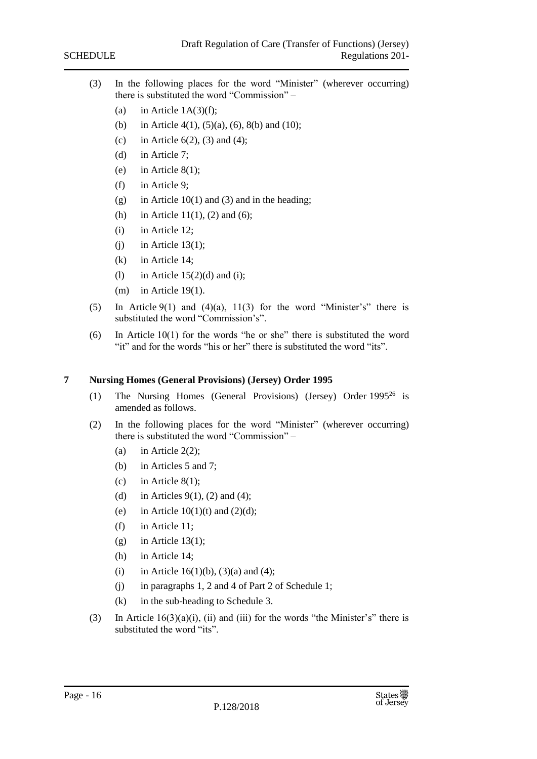- (3) In the following places for the word "Minister" (wherever occurring) there is substituted the word "Commission" –
	- (a) in Article  $1A(3)(f)$ ;
	- (b) in Article 4(1), (5)(a), (6), 8(b) and (10);
	- (c) in Article  $6(2)$ ,  $(3)$  and  $(4)$ ;
	- (d) in Article 7;
	- (e) in Article  $8(1)$ ;
	- (f) in Article 9;
	- (g) in Article  $10(1)$  and (3) and in the heading;
	- (h) in Article 11(1), (2) and (6);
	- (i) in Article 12;
	- $(i)$  in Article 13(1);
	- (k) in Article 14;
	- (1) in Article  $15(2)(d)$  and (i);
	- (m) in Article 19(1).
- (5) In Article  $9(1)$  and  $(4)(a)$ ,  $11(3)$  for the word "Minister's" there is substituted the word "Commission's".
- (6) In Article 10(1) for the words "he or she" there is substituted the word "it" and for the words "his or her" there is substituted the word "its".

#### <span id="page-15-0"></span>**7 Nursing Homes (General Provisions) (Jersey) Order 1995**

- (1) The Nursing Homes (General Provisions) (Jersey) Order 1995<sup>26</sup> is amended as follows.
- (2) In the following places for the word "Minister" (wherever occurring) there is substituted the word "Commission" –
	- (a) in Article  $2(2)$ ;
	- (b) in Articles 5 and 7;
	- (c) in Article  $8(1)$ ;
	- (d) in Articles  $9(1)$ , (2) and (4);
	- (e) in Article  $10(1)(t)$  and  $(2)(d)$ ;
	- (f) in Article 11;
	- $(g)$  in Article 13(1);
	- (h) in Article 14;
	- (i) in Article 16(1)(b), (3)(a) and (4);
	- (j) in paragraphs 1, 2 and 4 of Part 2 of Schedule 1;
	- (k) in the sub-heading to Schedule 3.
- (3) In Article  $16(3)(a)(i)$ , (ii) and (iii) for the words "the Minister's" there is substituted the word "its".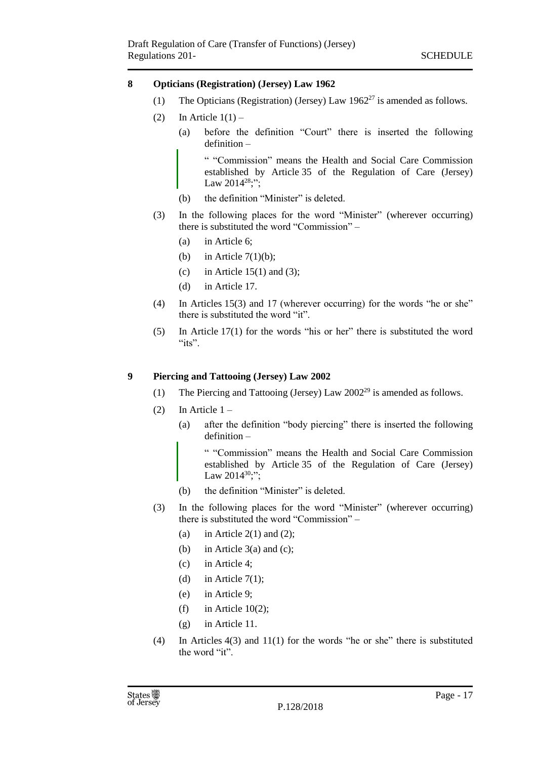#### <span id="page-16-0"></span>**8 Opticians (Registration) (Jersey) Law 1962**

- (1) The Opticians (Registration) (Jersey) Law  $1962^{27}$  is amended as follows.
- (2) In Article  $1(1)$ 
	- (a) before the definition "Court" there is inserted the following definition –

" "Commission" means the Health and Social Care Commission established by Article 35 of the Regulation of Care (Jersey) Law  $2014^{28}$ ;";

- (b) the definition "Minister" is deleted.
- (3) In the following places for the word "Minister" (wherever occurring) there is substituted the word "Commission" –
	- (a) in Article 6;
	- (b) in Article  $7(1)(b)$ ;
	- (c) in Article 15(1) and (3);
	- (d) in Article 17.
- (4) In Articles 15(3) and 17 (wherever occurring) for the words "he or she" there is substituted the word "it".
- (5) In Article 17(1) for the words "his or her" there is substituted the word " $its$ ".

#### <span id="page-16-1"></span>**9 Piercing and Tattooing (Jersey) Law 2002**

- (1) The Piercing and Tattooing (Jersey) Law 2002<sup>29</sup> is amended as follows.
- (2) In Article  $1 -$ 
	- (a) after the definition "body piercing" there is inserted the following definition –

" "Commission" means the Health and Social Care Commission established by Article 35 of the Regulation of Care (Jersey) Law  $2014^{30}$ ;";

- (b) the definition "Minister" is deleted.
- (3) In the following places for the word "Minister" (wherever occurring) there is substituted the word "Commission" –
	- (a) in Article  $2(1)$  and  $(2)$ ;
	- (b) in Article  $3(a)$  and (c);
	- (c) in Article 4;
	- (d) in Article  $7(1)$ :
	- (e) in Article 9;
	- (f) in Article 10(2);
	- (g) in Article 11.
- (4) In Articles 4(3) and 11(1) for the words "he or she" there is substituted the word "it".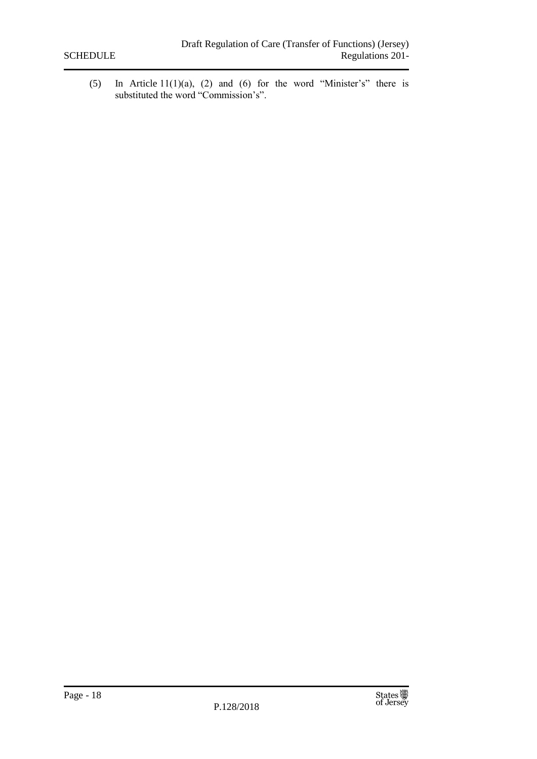(5) In Article 11(1)(a), (2) and (6) for the word "Minister's" there is substituted the word "Commission's".